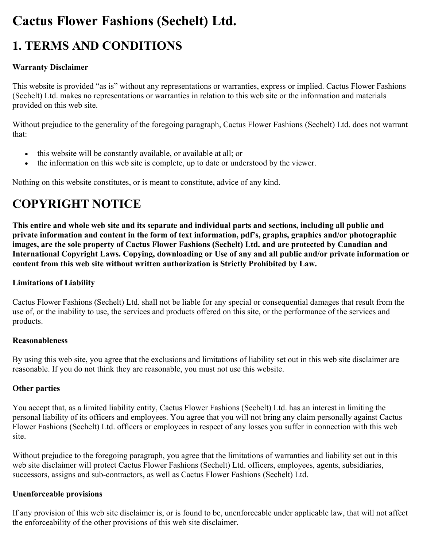# **Cactus Flower Fashions (Sechelt) Ltd.**

# **1. TERMS AND CONDITIONS**

# **Warranty Disclaimer**

This website is provided "as is" without any representations or warranties, express or implied. Cactus Flower Fashions (Sechelt) Ltd. makes no representations or warranties in relation to this web site or the information and materials provided on this web site.

Without prejudice to the generality of the foregoing paragraph, Cactus Flower Fashions (Sechelt) Ltd. does not warrant that:

- this website will be constantly available, or available at all; or
- the information on this web site is complete, up to date or understood by the viewer.

Nothing on this website constitutes, or is meant to constitute, advice of any kind.

# **COPYRIGHT NOTICE**

**This entire and whole web site and its separate and individual parts and sections, including all public and private information and content in the form of text information, pdf's, graphs, graphics and/or photographic images, are the sole property of Cactus Flower Fashions (Sechelt) Ltd. and are protected by Canadian and International Copyright Laws. Copying, downloading or Use of any and all public and/or private information or content from this web site without written authorization is Strictly Prohibited by Law.**

# **Limitations of Liability**

Cactus Flower Fashions (Sechelt) Ltd. shall not be liable for any special or consequential damages that result from the use of, or the inability to use, the services and products offered on this site, or the performance of the services and products.

#### **Reasonableness**

By using this web site, you agree that the exclusions and limitations of liability set out in this web site disclaimer are reasonable. If you do not think they are reasonable, you must not use this website.

# **Other parties**

You accept that, as a limited liability entity, Cactus Flower Fashions (Sechelt) Ltd. has an interest in limiting the personal liability of its officers and employees. You agree that you will not bring any claim personally against Cactus Flower Fashions (Sechelt) Ltd. officers or employees in respect of any losses you suffer in connection with this web site.

Without prejudice to the foregoing paragraph, you agree that the limitations of warranties and liability set out in this web site disclaimer will protect Cactus Flower Fashions (Sechelt) Ltd. officers, employees, agents, subsidiaries, successors, assigns and sub-contractors, as well as Cactus Flower Fashions (Sechelt) Ltd.

#### **Unenforceable provisions**

If any provision of this web site disclaimer is, or is found to be, unenforceable under applicable law, that will not affect the enforceability of the other provisions of this web site disclaimer.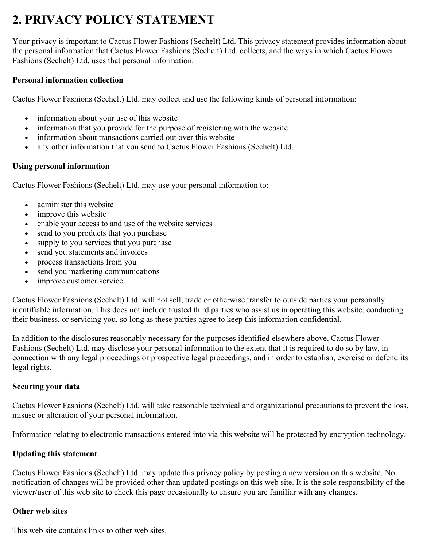# **2. PRIVACY POLICY STATEMENT**

Your privacy is important to Cactus Flower Fashions (Sechelt) Ltd. This privacy statement provides information about the personal information that Cactus Flower Fashions (Sechelt) Ltd. collects, and the ways in which Cactus Flower Fashions (Sechelt) Ltd. uses that personal information.

#### **Personal information collection**

Cactus Flower Fashions (Sechelt) Ltd. may collect and use the following kinds of personal information:

- information about your use of this website
- information that you provide for the purpose of registering with the website
- information about transactions carried out over this website
- any other information that you send to Cactus Flower Fashions (Sechelt) Ltd.

### **Using personal information**

Cactus Flower Fashions (Sechelt) Ltd. may use your personal information to:

- administer this website
- improve this website
- enable your access to and use of the website services
- send to you products that you purchase
- supply to you services that you purchase
- send you statements and invoices
- process transactions from you
- send you marketing communications
- improve customer service

Cactus Flower Fashions (Sechelt) Ltd. will not sell, trade or otherwise transfer to outside parties your personally identifiable information. This does not include trusted third parties who assist us in operating this website, conducting their business, or servicing you, so long as these parties agree to keep this information confidential.

In addition to the disclosures reasonably necessary for the purposes identified elsewhere above, Cactus Flower Fashions (Sechelt) Ltd. may disclose your personal information to the extent that it is required to do so by law, in connection with any legal proceedings or prospective legal proceedings, and in order to establish, exercise or defend its legal rights.

# **Securing your data**

Cactus Flower Fashions (Sechelt) Ltd. will take reasonable technical and organizational precautions to prevent the loss, misuse or alteration of your personal information.

Information relating to electronic transactions entered into via this website will be protected by encryption technology.

# **Updating this statement**

Cactus Flower Fashions (Sechelt) Ltd. may update this privacy policy by posting a new version on this website. No notification of changes will be provided other than updated postings on this web site. It is the sole responsibility of the viewer/user of this web site to check this page occasionally to ensure you are familiar with any changes.

#### **Other web sites**

This web site contains links to other web sites.